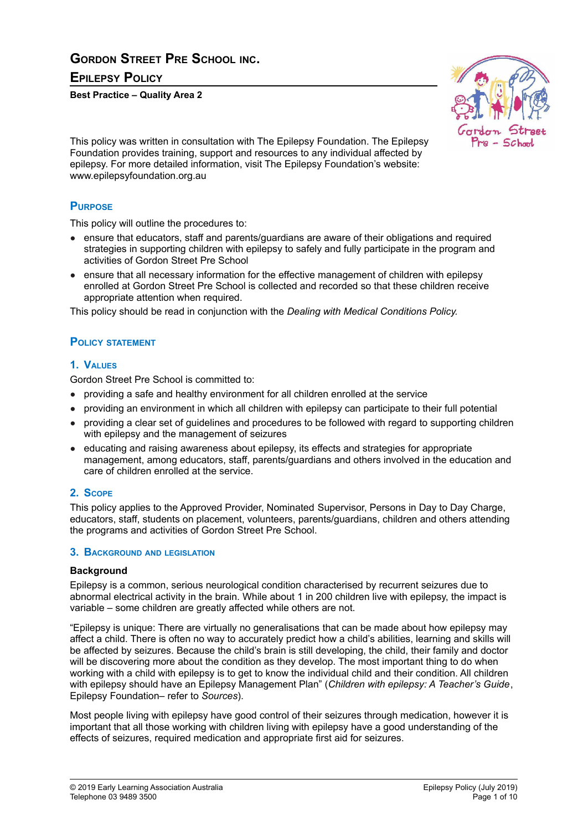# **GORDON STREET PRE SCHOOL INC. EPILEPSY POLICY**

**Best Practice – Quality Area 2**



This policy was written in consultation with The Epilepsy Foundation. The Epilepsy Foundation provides training, support and resources to any individual affected by epilepsy. For more detailed information, visit The Epilepsy Foundation's website: www.epilepsyfoundation.org.au

### **PURPOSE**

This policy will outline the procedures to:

- ensure that educators, staff and parents/quardians are aware of their obligations and required strategies in supporting children with epilepsy to safely and fully participate in the program and activities of Gordon Street Pre School
- ensure that all necessary information for the effective management of children with epilepsy enrolled at Gordon Street Pre School is collected and recorded so that these children receive appropriate attention when required.

This policy should be read in conjunction with the *Dealing with Medical Conditions Policy.*

### **POLICY STATEMENT**

### **1. VALUES**

Gordon Street Pre School is committed to:

- providing a safe and healthy environment for all children enrolled at the service
- providing an environment in which all children with epilepsy can participate to their full potential
- providing a clear set of guidelines and procedures to be followed with regard to supporting children with epilepsy and the management of seizures
- educating and raising awareness about epilepsy, its effects and strategies for appropriate management, among educators, staff, parents/guardians and others involved in the education and care of children enrolled at the service.

### **2. SCOPE**

This policy applies to the Approved Provider, Nominated Supervisor, Persons in Day to Day Charge, educators, staff, students on placement, volunteers, parents/guardians, children and others attending the programs and activities of Gordon Street Pre School.

#### **3. BACKGROUND AND LEGISLATION**

#### **Background**

Epilepsy is a common, serious neurological condition characterised by recurrent seizures due to abnormal electrical activity in the brain. While about 1 in 200 children live with epilepsy, the impact is variable – some children are greatly affected while others are not.

"Epilepsy is unique: There are virtually no generalisations that can be made about how epilepsy may affect a child. There is often no way to accurately predict how a child's abilities, learning and skills will be affected by seizures. Because the child's brain is still developing, the child, their family and doctor will be discovering more about the condition as they develop. The most important thing to do when working with a child with epilepsy is to get to know the individual child and their condition. All children with epilepsy should have an Epilepsy Management Plan" (*Children with epilepsy: A Teacher's Guide*, Epilepsy Foundation– refer to *Sources*).

Most people living with epilepsy have good control of their seizures through medication, however it is important that all those working with children living with epilepsy have a good understanding of the effects of seizures, required medication and appropriate first aid for seizures.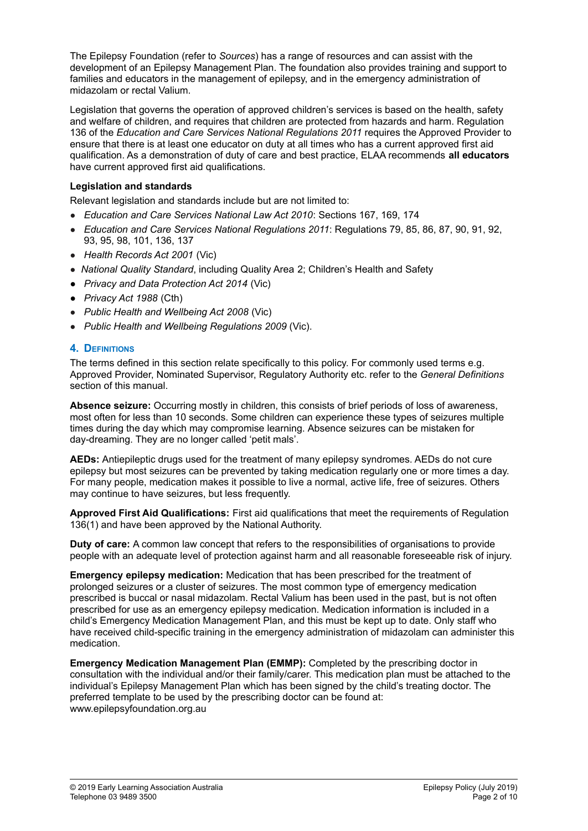The Epilepsy Foundation (refer to *Sources*) has a range of resources and can assist with the development of an Epilepsy Management Plan. The foundation also provides training and support to families and educators in the management of epilepsy, and in the emergency administration of midazolam or rectal Valium.

Legislation that governs the operation of approved children's services is based on the health, safety and welfare of children, and requires that children are protected from hazards and harm. Regulation 136 of the *Education and Care Services National Regulations 2011* requires the Approved Provider to ensure that there is at least one educator on duty at all times who has a current approved first aid qualification. As a demonstration of duty of care and best practice, ELAA recommends **all educators** have current approved first aid qualifications.

### **Legislation and standards**

Relevant legislation and standards include but are not limited to:

- *Education and Care Services National Law Act 2010*: Sections 167, 169, 174
- *Education and Care Services National Regulations 2011*: Regulations 79, 85, 86, 87, 90, 91, 92, 93, 95, 98, 101, 136, 137
- *Health Records Act 2001* (Vic)
- *National Quality Standard*, including Quality Area 2; Children's Health and Safety
- *● Privacy and Data Protection Act 2014* (Vic)
- *● Privacy Act 1988* (Cth)
- *Public Health and Wellbeing Act 2008* (Vic)
- *Public Health and Wellbeing Regulations 2009* (Vic).

### **4. DEFINITIONS**

The terms defined in this section relate specifically to this policy. For commonly used terms e.g. Approved Provider, Nominated Supervisor, Regulatory Authority etc. refer to the *General Definitions* section of this manual.

**Absence seizure:** Occurring mostly in children, this consists of brief periods of loss of awareness, most often for less than 10 seconds. Some children can experience these types of seizures multiple times during the day which may compromise learning. Absence seizures can be mistaken for day-dreaming. They are no longer called 'petit mals'.

**AEDs:** Antiepileptic drugs used for the treatment of many epilepsy syndromes. AEDs do not cure epilepsy but most seizures can be prevented by taking medication regularly one or more times a day. For many people, medication makes it possible to live a normal, active life, free of seizures. Others may continue to have seizures, but less frequently.

**Approved First Aid Qualifications:** First aid qualifications that meet the requirements of Regulation 136(1) and have been approved by the National Authority.

**Duty of care:** A common law concept that refers to the responsibilities of organisations to provide people with an adequate level of protection against harm and all reasonable foreseeable risk of injury.

**Emergency epilepsy medication:** Medication that has been prescribed for the treatment of prolonged seizures or a cluster of seizures. The most common type of emergency medication prescribed is buccal or nasal midazolam. Rectal Valium has been used in the past, but is not often prescribed for use as an emergency epilepsy medication. Medication information is included in a child's Emergency Medication Management Plan, and this must be kept up to date. Only staff who have received child-specific training in the emergency administration of midazolam can administer this medication.

**Emergency Medication Management Plan (EMMP):** Completed by the prescribing doctor in consultation with the individual and/or their family/carer. This medication plan must be attached to the individual's Epilepsy Management Plan which has been signed by the child's treating doctor. The preferred template to be used by the prescribing doctor can be found at: www.epilepsyfoundation.org.au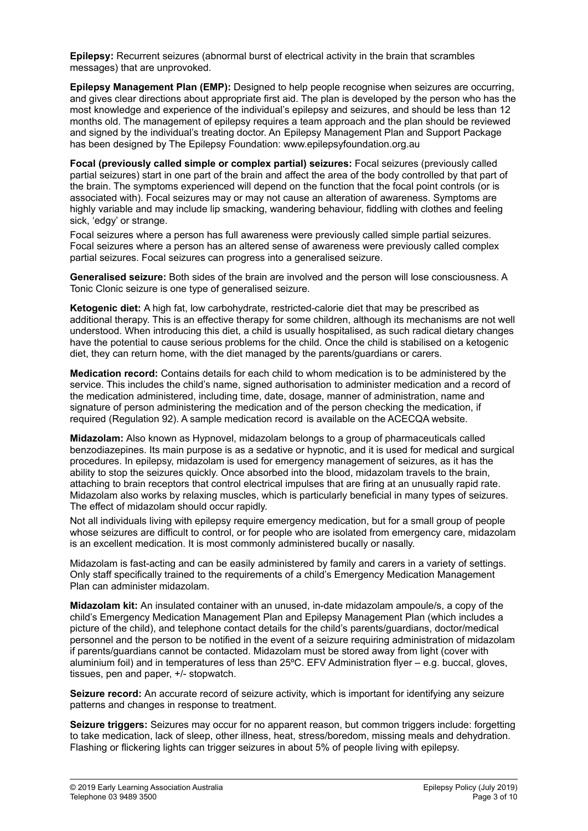**Epilepsy:** Recurrent seizures (abnormal burst of electrical activity in the brain that scrambles messages) that are unprovoked.

**Epilepsy Management Plan (EMP):** Designed to help people recognise when seizures are occurring, and gives clear directions about appropriate first aid. The plan is developed by the person who has the most knowledge and experience of the individual's epilepsy and seizures, and should be less than 12 months old. The management of epilepsy requires a team approach and the plan should be reviewed and signed by the individual's treating doctor. An Epilepsy Management Plan and Support Package has been designed by The Epilepsy Foundation: www.epilepsyfoundation.org.au

**Focal (previously called simple or complex partial) seizures:** Focal seizures (previously called partial seizures) start in one part of the brain and affect the area of the body controlled by that part of the brain. The symptoms experienced will depend on the function that the focal point controls (or is associated with). Focal seizures may or may not cause an alteration of awareness. Symptoms are highly variable and may include lip smacking, wandering behaviour, fiddling with clothes and feeling sick, 'edgy' or strange.

Focal seizures where a person has full awareness were previously called simple partial seizures. Focal seizures where a person has an altered sense of awareness were previously called complex partial seizures. Focal seizures can progress into a generalised seizure.

**Generalised seizure:** Both sides of the brain are involved and the person will lose consciousness. A Tonic Clonic seizure is one type of generalised seizure.

**Ketogenic diet:** A high fat, low carbohydrate, restricted-calorie diet that may be prescribed as additional therapy. This is an effective therapy for some children, although its mechanisms are not well understood. When introducing this diet, a child is usually hospitalised, as such radical dietary changes have the potential to cause serious problems for the child. Once the child is stabilised on a ketogenic diet, they can return home, with the diet managed by the parents/guardians or carers.

**Medication record:** Contains details for each child to whom medication is to be administered by the service. This includes the child's name, signed authorisation to administer medication and a record of the medication administered, including time, date, dosage, manner of administration, name and signature of person administering the medication and of the person checking the medication, if required (Regulation 92). A sample medication record is available on the ACECQA website.

**Midazolam:** Also known as Hypnovel, midazolam belongs to a group of pharmaceuticals called benzodiazepines. Its main purpose is as a sedative or hypnotic, and it is used for medical and surgical procedures. In epilepsy, midazolam is used for emergency management of seizures, as it has the ability to stop the seizures quickly. Once absorbed into the blood, midazolam travels to the brain, attaching to brain receptors that control electrical impulses that are firing at an unusually rapid rate. Midazolam also works by relaxing muscles, which is particularly beneficial in many types of seizures. The effect of midazolam should occur rapidly.

Not all individuals living with epilepsy require emergency medication, but for a small group of people whose seizures are difficult to control, or for people who are isolated from emergency care, midazolam is an excellent medication. It is most commonly administered bucally or nasally.

Midazolam is fast-acting and can be easily administered by family and carers in a variety of settings. Only staff specifically trained to the requirements of a child's Emergency Medication Management Plan can administer midazolam.

**Midazolam kit:** An insulated container with an unused, in-date midazolam ampoule/s, a copy of the child's Emergency Medication Management Plan and Epilepsy Management Plan (which includes a picture of the child), and telephone contact details for the child's parents/guardians, doctor/medical personnel and the person to be notified in the event of a seizure requiring administration of midazolam if parents/guardians cannot be contacted. Midazolam must be stored away from light (cover with aluminium foil) and in temperatures of less than 25ºC. EFV Administration flyer – e.g. buccal, gloves, tissues, pen and paper, +/- stopwatch.

**Seizure record:** An accurate record of seizure activity, which is important for identifying any seizure patterns and changes in response to treatment.

**Seizure triggers:** Seizures may occur for no apparent reason, but common triggers include: forgetting to take medication, lack of sleep, other illness, heat, stress/boredom, missing meals and dehydration. Flashing or flickering lights can trigger seizures in about 5% of people living with epilepsy.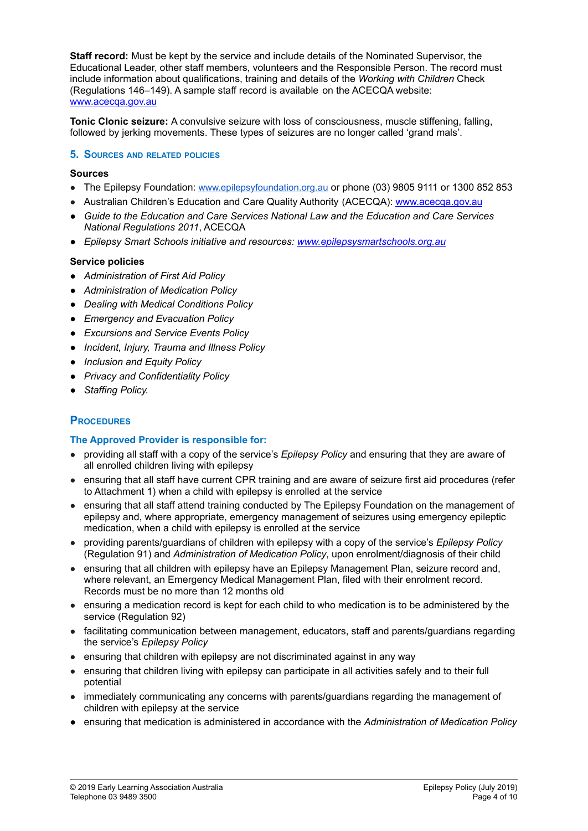**Staff record:** Must be kept by the service and include details of the Nominated Supervisor, the Educational Leader, other staff members, volunteers and the Responsible Person. The record must include information about qualifications, training and details of the *Working with Children* Check (Regulations 146–149). A sample staff record is available on the ACECQA website: [www.acecqa.gov.au](http://www.acecqa.gov.au)

**Tonic Clonic seizure:** A convulsive seizure with loss of consciousness, muscle stiffening, falling, followed by jerking movements. These types of seizures are no longer called 'grand mals'.

### **5. SOURCES AND RELATED POLICIES**

#### **Sources**

- The Epilepsy Foundation: [www.epilepsyfoundation.org.au](http://www.epilepsyfoundation.org.au) or phone (03) 9805 9111 or 1300 852 853
- Australian Children's Education and Care Quality Authority (ACECQA): [www.acecqa.gov.au](http://www.acecqa.gov.au)
- *● Guide to the Education and Care Services National Law and the Education and Care Services National Regulations 2011*, ACECQA
- *● Epilepsy Smart Schools initiative and resources: [www.epilepsysmartschools.org.au](http://www.epilepsysmartschools.org.au)*

### **Service policies**

- *● Administration of First Aid Policy*
- *● Administration of Medication Policy*
- *● Dealing with Medical Conditions Policy*
- *● Emergency and Evacuation Policy*
- *● Excursions and Service Events Policy*
- *● Incident, Injury, Trauma and Illness Policy*
- *● Inclusion and Equity Policy*
- *● Privacy and Confidentiality Policy*
- *● Staffing Policy.*

### **PROCEDURES**

### **The Approved Provider is responsible for:**

- providing all staff with a copy of the service's *Epilepsy Policy* and ensuring that they are aware of all enrolled children living with epilepsy
- ensuring that all staff have current CPR training and are aware of seizure first aid procedures (refer to Attachment 1) when a child with epilepsy is enrolled at the service
- ensuring that all staff attend training conducted by The Epilepsy Foundation on the management of epilepsy and, where appropriate, emergency management of seizures using emergency epileptic medication, when a child with epilepsy is enrolled at the service
- providing parents/guardians of children with epilepsy with a copy of the service's *Epilepsy Policy* (Regulation 91) and *Administration of Medication Policy*, upon enrolment/diagnosis of their child
- ensuring that all children with epilepsy have an Epilepsy Management Plan, seizure record and, where relevant, an Emergency Medical Management Plan, filed with their enrolment record. Records must be no more than 12 months old
- ensuring a medication record is kept for each child to who medication is to be administered by the service (Regulation 92)
- facilitating communication between management, educators, staff and parents/guardians regarding the service's *Epilepsy Policy*
- ensuring that children with epilepsy are not discriminated against in any way
- ensuring that children living with epilepsy can participate in all activities safely and to their full potential
- immediately communicating any concerns with parents/guardians regarding the management of children with epilepsy at the service
- *●* ensuring that medication is administered in accordance with the *Administration of Medication Policy*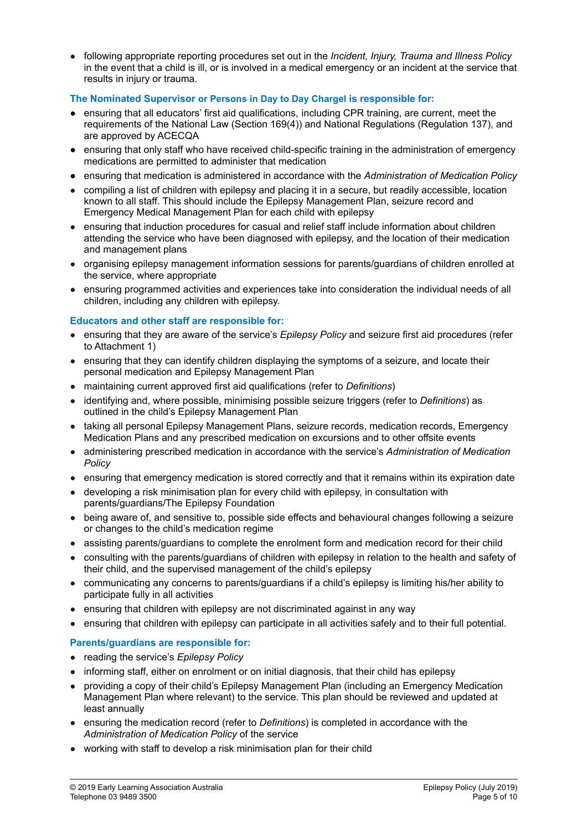● following appropriate reporting procedures set out in the *Incident, Injury, Trauma and Illness Policy* in the event that a child is ill, or is involved in a medical emergency or an incident at the service that results in injury or trauma.

### **The Nominated Supervisor or Persons in Day to Day Chargel is responsible for:**

- **●** ensuring that all educators' first aid qualifications, including CPR training, are current, meet the requirements of the National Law (Section 169(4)) and National Regulations (Regulation 137), and are approved by ACECQA
- **●** ensuring that only staff who have received child-specific training in the administration of emergency medications are permitted to administer that medication
- *●* ensuring that medication is administered in accordance with the *Administration of Medication Policy*
- compiling a list of children with epilepsy and placing it in a secure, but readily accessible, location known to all staff. This should include the Epilepsy Management Plan, seizure record and Emergency Medical Management Plan for each child with epilepsy
- ensuring that induction procedures for casual and relief staff include information about children attending the service who have been diagnosed with epilepsy, and the location of their medication and management plans
- organising epilepsy management information sessions for parents/guardians of children enrolled at the service, where appropriate
- ensuring programmed activities and experiences take into consideration the individual needs of all children, including any children with epilepsy.

### **Educators and other staff are responsible for:**

- ensuring that they are aware of the service's *Epilepsy Policy* and seizure first aid procedures (refer to Attachment 1)
- ensuring that they can identify children displaying the symptoms of a seizure, and locate their personal medication and Epilepsy Management Plan
- maintaining current approved first aid qualifications (refer to *Definitions*)
- identifying and, where possible, minimising possible seizure triggers (refer to *Definitions*) as outlined in the child's Epilepsy Management Plan
- taking all personal Epilepsy Management Plans, seizure records, medication records, Emergency Medication Plans and any prescribed medication on excursions and to other offsite events
- administering prescribed medication in accordance with the service's *Administration of Medication Policy*
- ensuring that emergency medication is stored correctly and that it remains within its expiration date
- developing a risk minimisation plan for every child with epilepsy, in consultation with parents/guardians/The Epilepsy Foundation
- being aware of, and sensitive to, possible side effects and behavioural changes following a seizure or changes to the child's medication regime
- assisting parents/guardians to complete the enrolment form and medication record for their child
- consulting with the parents/guardians of children with epilepsy in relation to the health and safety of their child, and the supervised management of the child's epilepsy
- communicating any concerns to parents/guardians if a child's epilepsy is limiting his/her ability to participate fully in all activities
- ensuring that children with epilepsy are not discriminated against in any way
- ensuring that children with epilepsy can participate in all activities safely and to their full potential.

### **Parents/guardians are responsible for:**

- reading the service's *Epilepsy Policy*
- informing staff, either on enrolment or on initial diagnosis, that their child has epilepsy
- providing a copy of their child's Epilepsy Management Plan (including an Emergency Medication Management Plan where relevant) to the service. This plan should be reviewed and updated at least annually
- ensuring the medication record (refer to *Definitions*) is completed in accordance with the *Administration of Medication Policy* of the service
- working with staff to develop a risk minimisation plan for their child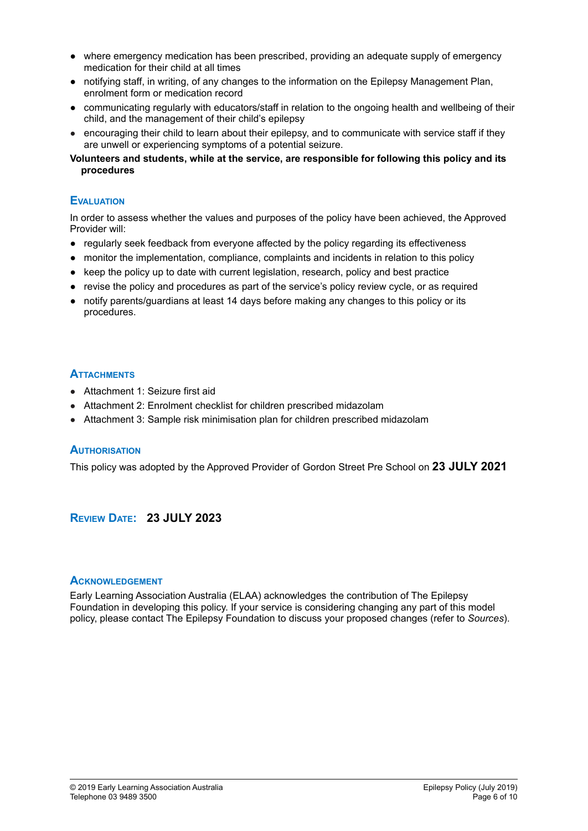- where emergency medication has been prescribed, providing an adequate supply of emergency medication for their child at all times
- notifying staff, in writing, of any changes to the information on the Epilepsy Management Plan, enrolment form or medication record
- communicating regularly with educators/staff in relation to the ongoing health and wellbeing of their child, and the management of their child's epilepsy
- encouraging their child to learn about their epilepsy, and to communicate with service staff if they are unwell or experiencing symptoms of a potential seizure.
- **Volunteers and students, while at the service, are responsible for following this policy and its procedures**

### **EVALUATION**

In order to assess whether the values and purposes of the policy have been achieved, the Approved Provider will:

- regularly seek feedback from everyone affected by the policy regarding its effectiveness
- monitor the implementation, compliance, complaints and incidents in relation to this policy
- keep the policy up to date with current legislation, research, policy and best practice
- revise the policy and procedures as part of the service's policy review cycle, or as required
- **●** notify parents/guardians at least 14 days before making any changes to this policy or its procedures.

### **ATTACHMENTS**

- Attachment 1: Seizure first aid
- Attachment 2: Enrolment checklist for children prescribed midazolam
- Attachment 3: Sample risk minimisation plan for children prescribed midazolam

### **AUTHORISATION**

This policy was adopted by the Approved Provider of Gordon Street Pre School on **23 JULY 2021**

### **REVIEW DATE: 23 JULY 2023**

### **ACKNOWLEDGEMENT**

Early Learning Association Australia (ELAA) acknowledges the contribution of The Epilepsy Foundation in developing this policy. If your service is considering changing any part of this model policy, please contact The Epilepsy Foundation to discuss your proposed changes (refer to *Sources*).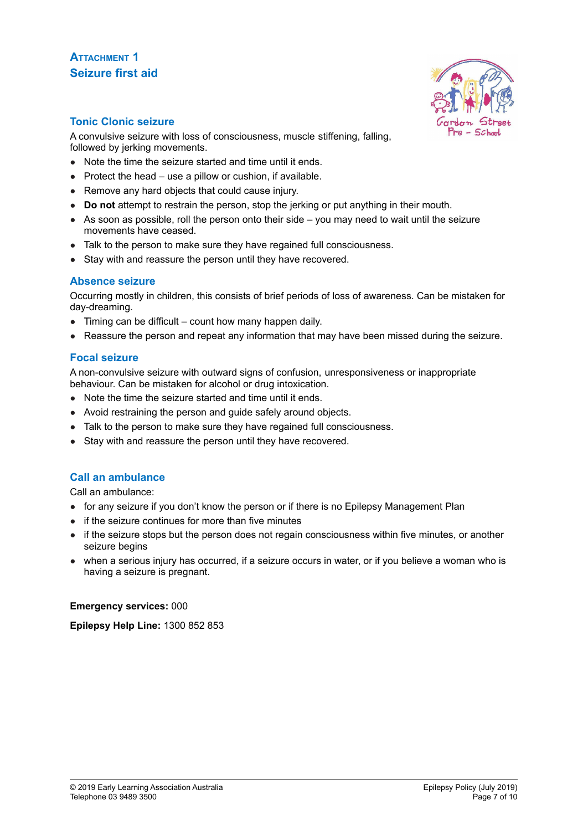# **ATTACHMENT 1 Seizure first aid**



### **Tonic Clonic seizure**

A convulsive seizure with loss of consciousness, muscle stiffening, falling, followed by jerking movements.

- Note the time the seizure started and time until it ends.
- $\bullet$  Protect the head use a pillow or cushion, if available.
- Remove any hard objects that could cause injury.
- **Do not** attempt to restrain the person, stop the jerking or put anything in their mouth.
- $\bullet$  As soon as possible, roll the person onto their side you may need to wait until the seizure movements have ceased.
- Talk to the person to make sure they have regained full consciousness.
- Stay with and reassure the person until they have recovered.

### **Absence seizure**

Occurring mostly in children, this consists of brief periods of loss of awareness. Can be mistaken for day-dreaming.

- Timing can be difficult count how many happen daily.
- Reassure the person and repeat any information that may have been missed during the seizure.

### **Focal seizure**

A non-convulsive seizure with outward signs of confusion, unresponsiveness or inappropriate behaviour. Can be mistaken for alcohol or drug intoxication.

- Note the time the seizure started and time until it ends.
- Avoid restraining the person and guide safely around objects.
- Talk to the person to make sure they have regained full consciousness.
- Stay with and reassure the person until they have recovered.

### **Call an ambulance**

Call an ambulance:

- for any seizure if you don't know the person or if there is no Epilepsy Management Plan
- if the seizure continues for more than five minutes
- if the seizure stops but the person does not regain consciousness within five minutes, or another seizure begins
- when a serious injury has occurred, if a seizure occurs in water, or if you believe a woman who is having a seizure is pregnant.

**Emergency services:** 000

**Epilepsy Help Line:** 1300 852 853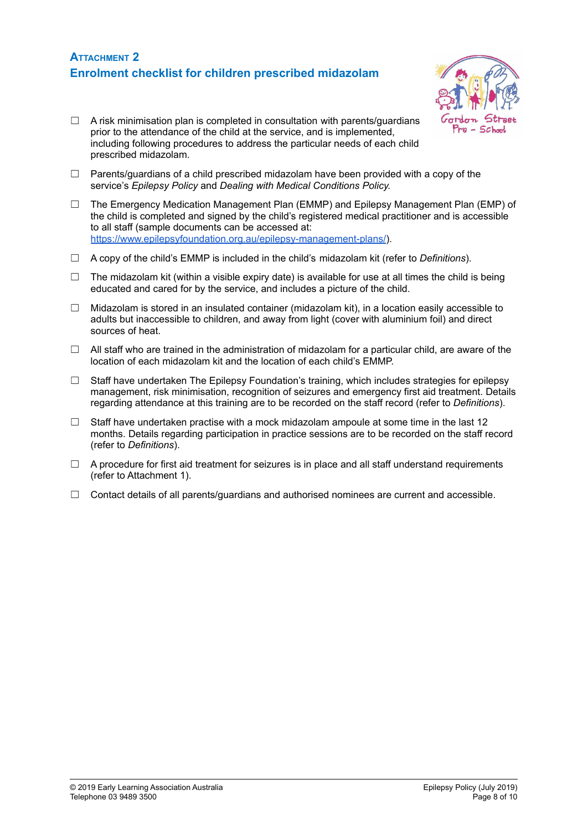## **ATTACHMENT 2 Enrolment checklist for children prescribed midazolam**



- $\Box$  A risk minimisation plan is completed in consultation with parents/quardians prior to the attendance of the child at the service, and is implemented, including following procedures to address the particular needs of each child prescribed midazolam.
- $\Box$  Parents/guardians of a child prescribed midazolam have been provided with a copy of the service's *Epilepsy Policy* and *Dealing with Medical Conditions Policy.*
- $\Box$  The Emergency Medication Management Plan (EMMP) and Epilepsy Management Plan (EMP) of the child is completed and signed by the child's registered medical practitioner and is accessible to all staff (sample documents can be accessed at: <https://www.epilepsyfoundation.org.au/epilepsy-management-plans/>).
- ☐ A copy of the child's EMMP is included in the child's midazolam kit (refer to *Definitions*).
- $\Box$  The midazolam kit (within a visible expiry date) is available for use at all times the child is being educated and cared for by the service, and includes a picture of the child.
- $\Box$  Midazolam is stored in an insulated container (midazolam kit), in a location easily accessible to adults but inaccessible to children, and away from light (cover with aluminium foil) and direct sources of heat.
- $\Box$  All staff who are trained in the administration of midazolam for a particular child, are aware of the location of each midazolam kit and the location of each child's EMMP.
- $\Box$  Staff have undertaken The Epilepsy Foundation's training, which includes strategies for epilepsy management, risk minimisation, recognition of seizures and emergency first aid treatment. Details regarding attendance at this training are to be recorded on the staff record (refer to *Definitions*).
- $\Box$  Staff have undertaken practise with a mock midazolam ampoule at some time in the last 12 months. Details regarding participation in practice sessions are to be recorded on the staff record (refer to *Definitions*).
- $\Box$  A procedure for first aid treatment for seizures is in place and all staff understand requirements (refer to Attachment 1).
- $\Box$  Contact details of all parents/guardians and authorised nominees are current and accessible.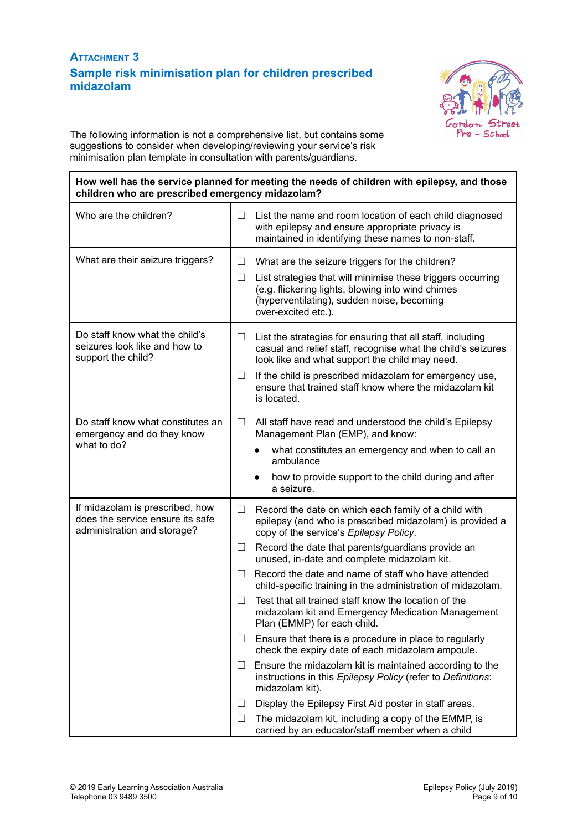# **ATTACHMENT 3 Sample risk minimisation plan for children prescribed midazolam**



The following information is not a comprehensive list, but contains some suggestions to consider when developing/reviewing your service's risk minimisation plan template in consultation with parents/guardians.

### **How well has the service planned for meeting the needs of children with epilepsy, and those children who are prescribed emergency midazolam?**

| Who are the children?                                                                              | List the name and room location of each child diagnosed<br>ш<br>with epilepsy and ensure appropriate privacy is<br>maintained in identifying these names to non-staff.                                                                                                                                                                                                                                                                                                                                                                                                                                                                                                                                                                                                                                                                                                                                                                                                                                       |  |
|----------------------------------------------------------------------------------------------------|--------------------------------------------------------------------------------------------------------------------------------------------------------------------------------------------------------------------------------------------------------------------------------------------------------------------------------------------------------------------------------------------------------------------------------------------------------------------------------------------------------------------------------------------------------------------------------------------------------------------------------------------------------------------------------------------------------------------------------------------------------------------------------------------------------------------------------------------------------------------------------------------------------------------------------------------------------------------------------------------------------------|--|
| What are their seizure triggers?                                                                   | What are the seizure triggers for the children?<br>⊔<br>List strategies that will minimise these triggers occurring<br>Ш<br>(e.g. flickering lights, blowing into wind chimes<br>(hyperventilating), sudden noise, becoming<br>over-excited etc.).                                                                                                                                                                                                                                                                                                                                                                                                                                                                                                                                                                                                                                                                                                                                                           |  |
| Do staff know what the child's<br>seizures look like and how to<br>support the child?              | List the strategies for ensuring that all staff, including<br>casual and relief staff, recognise what the child's seizures<br>look like and what support the child may need.<br>If the child is prescribed midazolam for emergency use,<br>ensure that trained staff know where the midazolam kit<br>is located.                                                                                                                                                                                                                                                                                                                                                                                                                                                                                                                                                                                                                                                                                             |  |
| Do staff know what constitutes an<br>emergency and do they know<br>what to do?                     | $\Box$<br>All staff have read and understood the child's Epilepsy<br>Management Plan (EMP), and know:<br>what constitutes an emergency and when to call an<br>ambulance<br>how to provide support to the child during and after<br>a seizure.                                                                                                                                                                                                                                                                                                                                                                                                                                                                                                                                                                                                                                                                                                                                                                |  |
| If midazolam is prescribed, how<br>does the service ensure its safe<br>administration and storage? | Record the date on which each family of a child with<br>ш<br>epilepsy (and who is prescribed midazolam) is provided a<br>copy of the service's Epilepsy Policy.<br>Record the date that parents/guardians provide an<br>⊔<br>unused, in-date and complete midazolam kit.<br>Record the date and name of staff who have attended<br>$\Box$<br>child-specific training in the administration of midazolam.<br>Test that all trained staff know the location of the<br>П<br>midazolam kit and Emergency Medication Management<br>Plan (EMMP) for each child.<br>Ensure that there is a procedure in place to regularly<br>check the expiry date of each midazolam ampoule.<br>Ensure the midazolam kit is maintained according to the<br>Ш<br>instructions in this Epilepsy Policy (refer to Definitions:<br>midazolam kit).<br>Display the Epilepsy First Aid poster in staff areas.<br>⊔<br>The midazolam kit, including a copy of the EMMP, is<br>$\Box$<br>carried by an educator/staff member when a child |  |